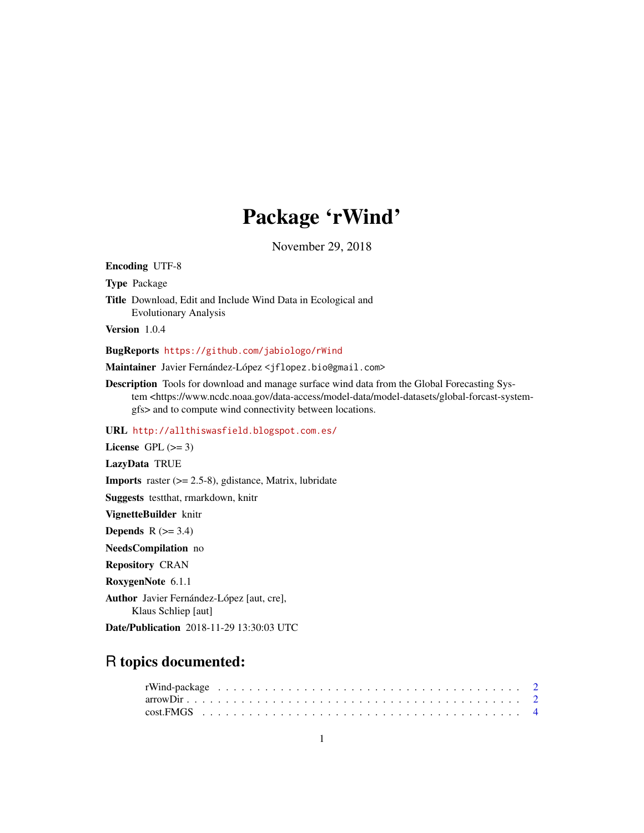## Package 'rWind'

November 29, 2018

<span id="page-0-0"></span>Encoding UTF-8 Type Package Title Download, Edit and Include Wind Data in Ecological and Evolutionary Analysis Version 1.0.4 BugReports <https://github.com/jabiologo/rWind> Maintainer Javier Fernández-López <jflopez.bio@gmail.com> Description Tools for download and manage surface wind data from the Global Forecasting System <https://www.ncdc.noaa.gov/data-access/model-data/model-datasets/global-forcast-systemgfs> and to compute wind connectivity between locations. URL <http://allthiswasfield.blogspot.com.es/> License GPL  $(>= 3)$ LazyData TRUE **Imports** raster  $(>= 2.5-8)$ , gdistance, Matrix, lubridate Suggests testthat, rmarkdown, knitr VignetteBuilder knitr Depends  $R$  ( $>= 3.4$ ) NeedsCompilation no Repository CRAN RoxygenNote 6.1.1 Author Javier Fernández-López [aut, cre], Klaus Schliep [aut] Date/Publication 2018-11-29 13:30:03 UTC

## R topics documented: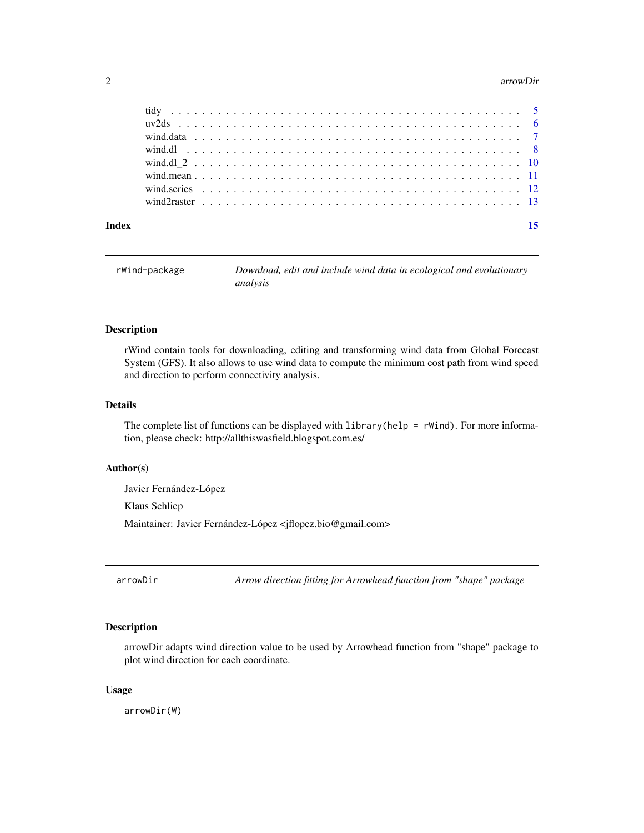#### <span id="page-1-0"></span>2 arrowDirector and the contract of the contract of the contract of the contract of the contract of the contract of the contract of the contract of the contract of the contract of the contract of the contract of the contra

| rWind-package | Download, edit and include wind data in ecological and evolutionary |
|---------------|---------------------------------------------------------------------|
|               | analysis                                                            |

#### Description

rWind contain tools for downloading, editing and transforming wind data from Global Forecast System (GFS). It also allows to use wind data to compute the minimum cost path from wind speed and direction to perform connectivity analysis.

#### Details

The complete list of functions can be displayed with  $l$ ibrary(help = rWind). For more information, please check: http://allthiswasfield.blogspot.com.es/

#### Author(s)

Javier Fernández-López Klaus Schliep Maintainer: Javier Fernández-López <jflopez.bio@gmail.com>

arrowDir *Arrow direction fitting for Arrowhead function from "shape" package*

#### Description

arrowDir adapts wind direction value to be used by Arrowhead function from "shape" package to plot wind direction for each coordinate.

#### Usage

arrowDir(W)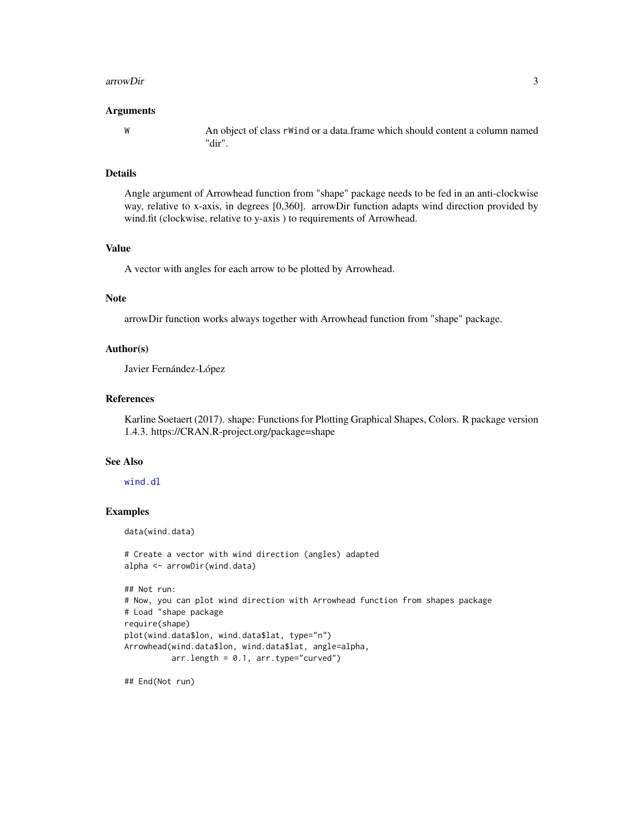#### <span id="page-2-0"></span>arrowDir 3

#### Arguments

W An object of class rWind or a data.frame which should content a column named "dir".

#### Details

Angle argument of Arrowhead function from "shape" package needs to be fed in an anti-clockwise way, relative to x-axis, in degrees [0,360]. arrowDir function adapts wind direction provided by wind.fit (clockwise, relative to y-axis ) to requirements of Arrowhead.

#### Value

A vector with angles for each arrow to be plotted by Arrowhead.

#### Note

arrowDir function works always together with Arrowhead function from "shape" package.

#### Author(s)

Javier Fernández-López

#### References

Karline Soetaert (2017). shape: Functions for Plotting Graphical Shapes, Colors. R package version 1.4.3. https://CRAN.R-project.org/package=shape

#### See Also

#### [wind.dl](#page-7-1)

#### Examples

data(wind.data)

```
# Create a vector with wind direction (angles) adapted
alpha <- arrowDir(wind.data)
```

```
## Not run:
# Now, you can plot wind direction with Arrowhead function from shapes package
# Load "shape package
require(shape)
plot(wind.data$lon, wind.data$lat, type="n")
Arrowhead(wind.data$lon, wind.data$lat, angle=alpha,
         arr.length = 0.1, arr-type='curved")
```
## End(Not run)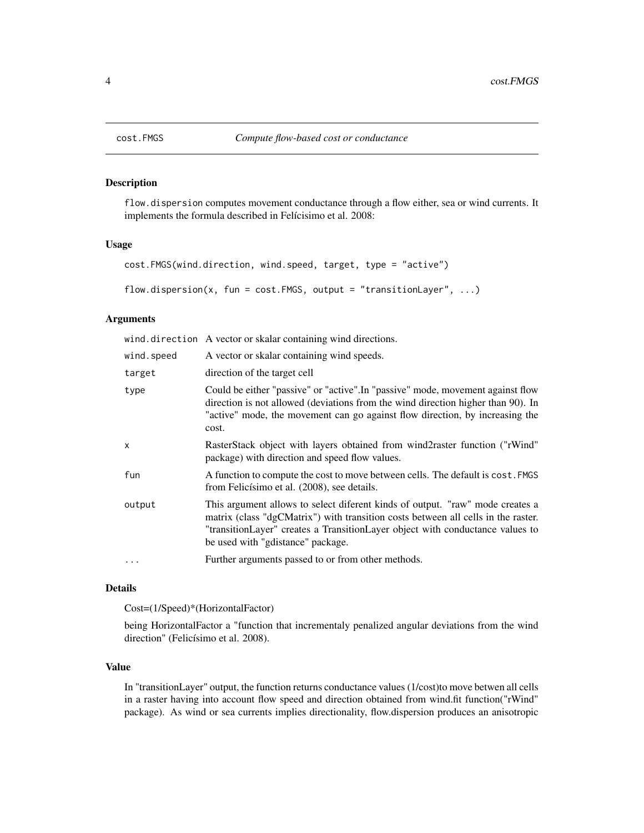<span id="page-3-0"></span>

#### Description

flow.dispersion computes movement conductance through a flow either, sea or wind currents. It implements the formula described in Felícisimo et al. 2008:

#### Usage

```
cost.FMGS(wind.direction, wind.speed, target, type = "active")
```

```
flow.dispersion(x, fun = cost.FMGS, output = "transitionLayer", ...)
```
#### Arguments

|            | wind.direction A vector or skalar containing wind directions.                                                                                                                                                                                                                            |
|------------|------------------------------------------------------------------------------------------------------------------------------------------------------------------------------------------------------------------------------------------------------------------------------------------|
| wind.speed | A vector or skalar containing wind speeds.                                                                                                                                                                                                                                               |
| target     | direction of the target cell                                                                                                                                                                                                                                                             |
| type       | Could be either "passive" or "active". In "passive" mode, movement against flow<br>direction is not allowed (deviations from the wind direction higher than 90). In<br>"active" mode, the movement can go against flow direction, by increasing the<br>cost.                             |
| X          | RasterStack object with layers obtained from wind2raster function ("rWind"<br>package) with direction and speed flow values.                                                                                                                                                             |
| fun        | A function to compute the cost to move between cells. The default is cost. FMGS<br>from Felicísimo et al. (2008), see details.                                                                                                                                                           |
| output     | This argument allows to select diferent kinds of output. "raw" mode creates a<br>matrix (class "dgCMatrix") with transition costs between all cells in the raster.<br>"transitionLayer" creates a TransitionLayer object with conductance values to<br>be used with "gdistance" package. |
| $\cdots$   | Further arguments passed to or from other methods.                                                                                                                                                                                                                                       |

#### Details

Cost=(1/Speed)\*(HorizontalFactor)

being HorizontalFactor a "function that incrementaly penalized angular deviations from the wind direction" (Felicísimo et al. 2008).

#### Value

In "transitionLayer" output, the function returns conductance values (1/cost)to move betwen all cells in a raster having into account flow speed and direction obtained from wind.fit function("rWind" package). As wind or sea currents implies directionality, flow.dispersion produces an anisotropic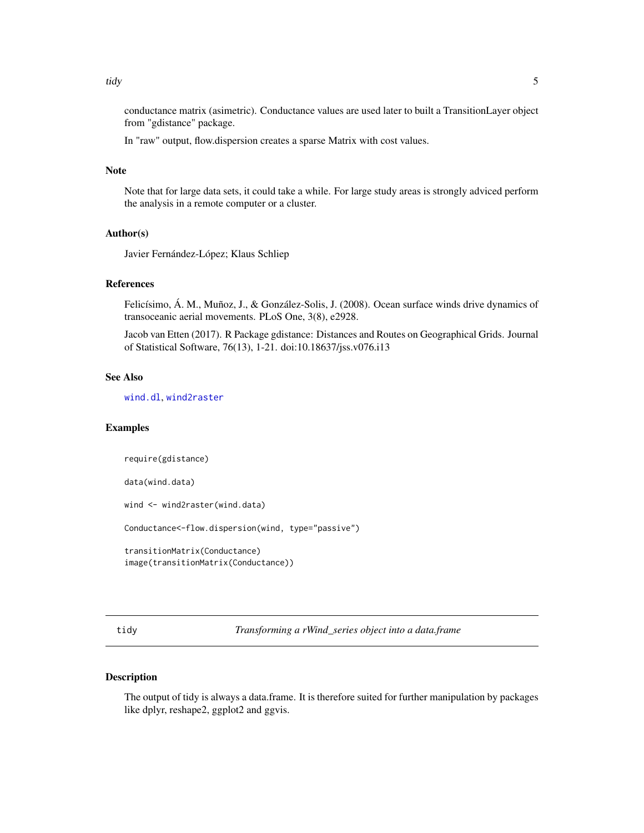<span id="page-4-0"></span>conductance matrix (asimetric). Conductance values are used later to built a TransitionLayer object from "gdistance" package.

In "raw" output, flow.dispersion creates a sparse Matrix with cost values.

#### Note

Note that for large data sets, it could take a while. For large study areas is strongly adviced perform the analysis in a remote computer or a cluster.

#### Author(s)

Javier Fernández-López; Klaus Schliep

#### References

Felicísimo, Á. M., Muñoz, J., & González-Solis, J. (2008). Ocean surface winds drive dynamics of transoceanic aerial movements. PLoS One, 3(8), e2928.

Jacob van Etten (2017). R Package gdistance: Distances and Routes on Geographical Grids. Journal of Statistical Software, 76(13), 1-21. doi:10.18637/jss.v076.i13

#### See Also

[wind.dl](#page-7-1), [wind2raster](#page-12-1)

#### Examples

require(gdistance)

data(wind.data)

wind <- wind2raster(wind.data)

Conductance<-flow.dispersion(wind, type="passive")

transitionMatrix(Conductance) image(transitionMatrix(Conductance))

tidy *Transforming a rWind\_series object into a data.frame*

#### Description

The output of tidy is always a data.frame. It is therefore suited for further manipulation by packages like dplyr, reshape2, ggplot2 and ggvis.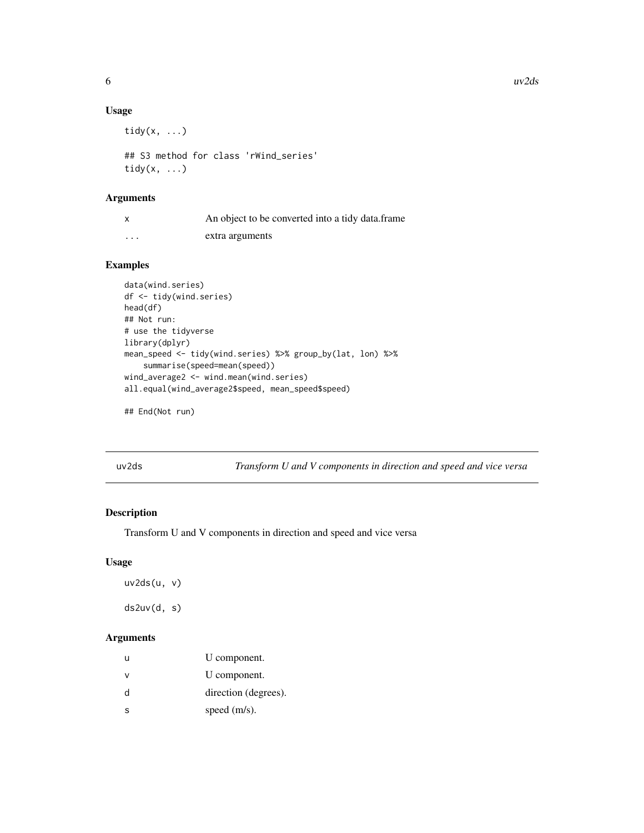#### Usage

```
tidy(x, ...)
```

```
## S3 method for class 'rWind_series'
tidy(x, \ldots)
```
#### Arguments

| X                       | An object to be converted into a tidy data.frame |
|-------------------------|--------------------------------------------------|
| $\cdot$ $\cdot$ $\cdot$ | extra arguments                                  |

#### Examples

```
data(wind.series)
df <- tidy(wind.series)
head(df)
## Not run:
# use the tidyverse
library(dplyr)
mean_speed <- tidy(wind.series) %>% group_by(lat, lon) %>%
    summarise(speed=mean(speed))
wind_average2 <- wind.mean(wind.series)
all.equal(wind_average2$speed, mean_speed$speed)
```

```
## End(Not run)
```
uv2ds *Transform U and V components in direction and speed and vice versa*

#### Description

Transform U and V components in direction and speed and vice versa

#### Usage

```
uv2ds(u, v)
ds2uv(d, s)
```
#### Arguments

| u | U component.         |
|---|----------------------|
| ν | U component.         |
| d | direction (degrees). |
| S | speed $(m/s)$ .      |

<span id="page-5-0"></span>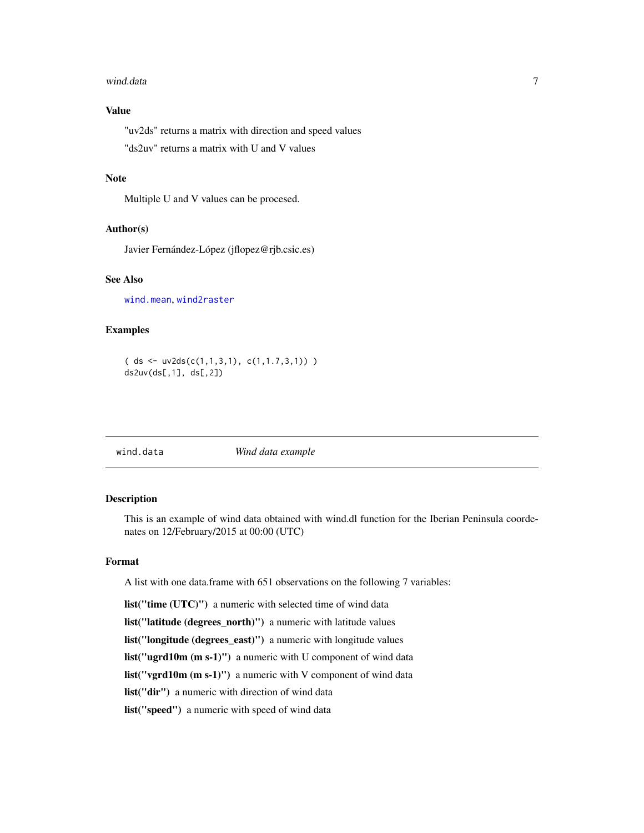#### <span id="page-6-0"></span>wind.data 7 and 2008 and 2008 and 2008 and 2008 and 2008 and 2008 and 2008 and 2008 and 2008 and 2008 and 2008  $\sigma$

### Value

"uv2ds" returns a matrix with direction and speed values

"ds2uv" returns a matrix with U and V values

#### Note

Multiple U and V values can be procesed.

#### Author(s)

Javier Fernández-López (jflopez@rjb.csic.es)

#### See Also

[wind.mean](#page-10-1), [wind2raster](#page-12-1)

#### Examples

```
( ds <- uv2ds(c(1,1,3,1), c(1,1.7,3,1)) )
ds2uv(ds[,1], ds[,2])
```
wind.data *Wind data example*

#### Description

This is an example of wind data obtained with wind.dl function for the Iberian Peninsula coordenates on 12/February/2015 at 00:00 (UTC)

#### Format

A list with one data.frame with 651 observations on the following 7 variables:

list("time (UTC)") a numeric with selected time of wind data list("latitude (degrees\_north)") a numeric with latitude values list("longitude (degrees\_east)") a numeric with longitude values list("ugrd10m (m s-1)") a numeric with U component of wind data list("vgrd10m (m s-1)") a numeric with V component of wind data list("dir") a numeric with direction of wind data list("speed") a numeric with speed of wind data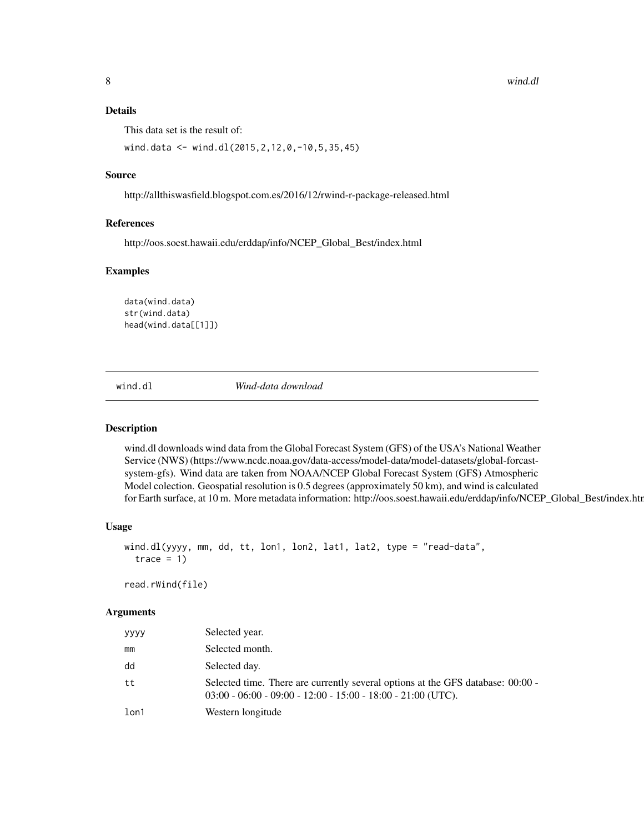#### <span id="page-7-0"></span>Details

This data set is the result of:

wind.data <- wind.dl(2015,2,12,0,-10,5,35,45)

#### Source

http://allthiswasfield.blogspot.com.es/2016/12/rwind-r-package-released.html

#### References

http://oos.soest.hawaii.edu/erddap/info/NCEP\_Global\_Best/index.html

#### Examples

data(wind.data) str(wind.data) head(wind.data[[1]])

<span id="page-7-1"></span>wind.dl *Wind-data download*

#### Description

wind.dl downloads wind data from the Global Forecast System (GFS) of the USA's National Weather Service (NWS) (https://www.ncdc.noaa.gov/data-access/model-data/model-datasets/global-forcastsystem-gfs). Wind data are taken from NOAA/NCEP Global Forecast System (GFS) Atmospheric Model colection. Geospatial resolution is 0.5 degrees (approximately 50 km), and wind is calculated for Earth surface, at 10 m. More metadata information: http://oos.soest.hawaii.edu/erddap/info/NCEP\_Global\_Best/index.htm

#### Usage

```
wind.dl(yyyy, mm, dd, tt, lon1, lon2, lat1, lat2, type = "read-data",
 trace = 1
```
read.rWind(file)

#### Arguments

| уууу | Selected year.                                                                                                                                    |
|------|---------------------------------------------------------------------------------------------------------------------------------------------------|
| mm   | Selected month.                                                                                                                                   |
| dd   | Selected day.                                                                                                                                     |
| tt   | Selected time. There are currently several options at the GFS database: 00:00 -<br>$03:00 - 06:00 - 09:00 - 12:00 - 15:00 - 18:00 - 21:00$ (UTC). |
| lon1 | Western longitude                                                                                                                                 |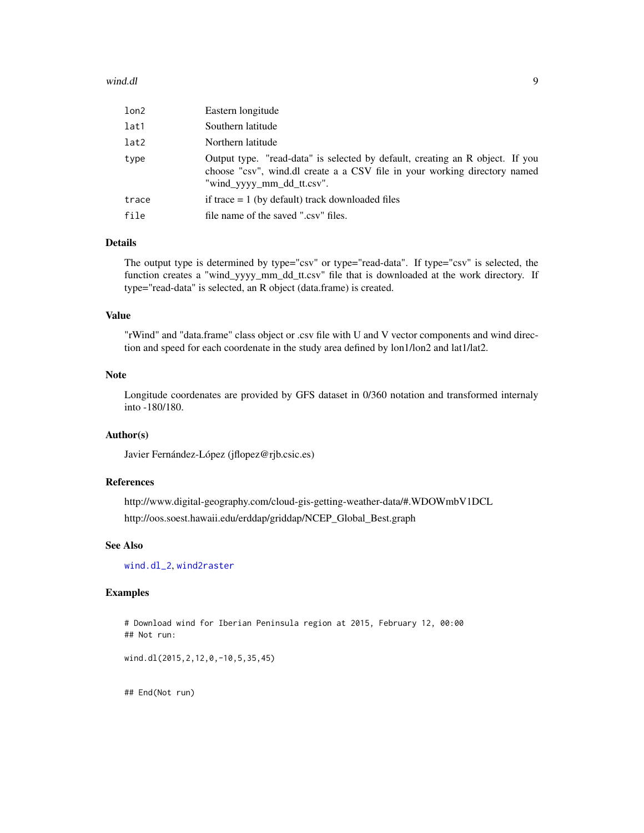#### <span id="page-8-0"></span>wind.dl 9

| lon2  | Eastern longitude                                                                                                                                                                       |
|-------|-----------------------------------------------------------------------------------------------------------------------------------------------------------------------------------------|
| lat1  | Southern latitude                                                                                                                                                                       |
| lat2  | Northern latitude                                                                                                                                                                       |
| type  | Output type. "read-data" is selected by default, creating an R object. If you<br>choose "csv", wind.dl create a a CSV file in your working directory named<br>"wind_yyyy_mm_dd_tt.csv". |
| trace | if trace $= 1$ (by default) track downloaded files                                                                                                                                      |
| file  | file name of the saved ".csv" files.                                                                                                                                                    |

#### Details

The output type is determined by type="csv" or type="read-data". If type="csv" is selected, the function creates a "wind\_yyyy\_mm\_dd\_tt.csv" file that is downloaded at the work directory. If type="read-data" is selected, an R object (data.frame) is created.

#### Value

"rWind" and "data.frame" class object or .csv file with U and V vector components and wind direction and speed for each coordenate in the study area defined by lon1/lon2 and lat1/lat2.

#### Note

Longitude coordenates are provided by GFS dataset in 0/360 notation and transformed internaly into -180/180.

#### Author(s)

Javier Fernández-López (jflopez@rjb.csic.es)

#### References

http://www.digital-geography.com/cloud-gis-getting-weather-data/#.WDOWmbV1DCL http://oos.soest.hawaii.edu/erddap/griddap/NCEP\_Global\_Best.graph

#### See Also

[wind.dl\\_2](#page-9-1), [wind2raster](#page-12-1)

#### Examples

# Download wind for Iberian Peninsula region at 2015, February 12, 00:00 ## Not run:

wind.dl(2015,2,12,0,-10,5,35,45)

## End(Not run)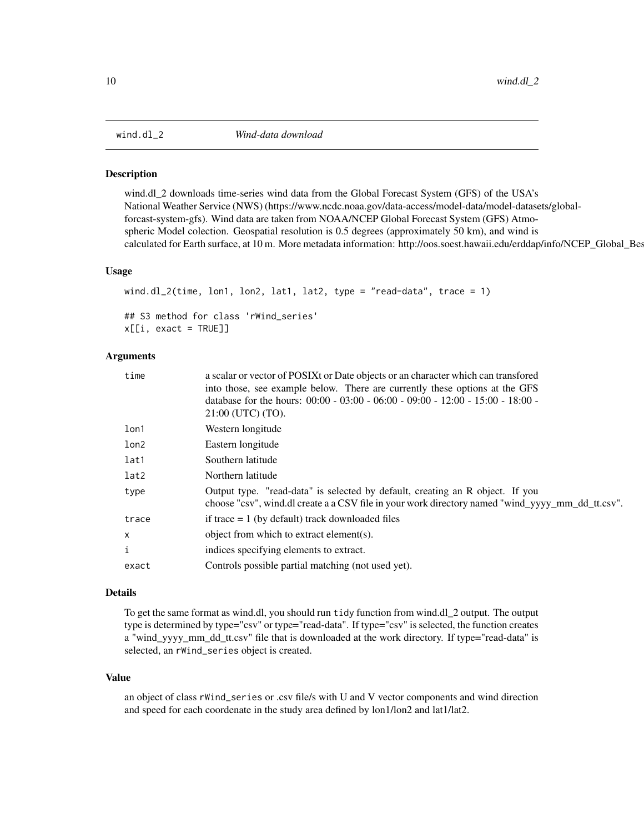<span id="page-9-1"></span><span id="page-9-0"></span>

#### Description

wind.dl\_2 downloads time-series wind data from the Global Forecast System (GFS) of the USA's National Weather Service (NWS) (https://www.ncdc.noaa.gov/data-access/model-data/model-datasets/globalforcast-system-gfs). Wind data are taken from NOAA/NCEP Global Forecast System (GFS) Atmospheric Model colection. Geospatial resolution is 0.5 degrees (approximately 50 km), and wind is calculated for Earth surface, at 10 m. More metadata information: http://oos.soest.hawaii.edu/erddap/info/NCEP\_Global\_Bes

#### Usage

```
wind.dl_2(time, lon1, lon2, lat1, lat2, type = "read-data", trace = 1)
## S3 method for class 'rWind_series'
x[[i, exact = TRUE]]
```
#### Arguments

| time                      | a scalar or vector of POSIX tor Date objects or an character which can transfored<br>into those, see example below. There are currently these options at the GFS<br>database for the hours: $00:00 - 03:00 - 06:00 - 09:00 - 12:00 - 15:00 - 18:00 - 18:00$<br>21:00 (UTC) (TO). |
|---------------------------|----------------------------------------------------------------------------------------------------------------------------------------------------------------------------------------------------------------------------------------------------------------------------------|
| lon1                      | Western longitude                                                                                                                                                                                                                                                                |
| lon2                      | Eastern longitude                                                                                                                                                                                                                                                                |
| lat1                      | Southern latitude                                                                                                                                                                                                                                                                |
| lat2                      | Northern latitude                                                                                                                                                                                                                                                                |
| type                      | Output type. "read-data" is selected by default, creating an R object. If you<br>choose "csv", wind.dl create a a CSV file in your work directory named "wind_yyyy_mm_dd_tt.csv".                                                                                                |
| trace                     | if trace $= 1$ (by default) track downloaded files                                                                                                                                                                                                                               |
| $\boldsymbol{\mathsf{x}}$ | object from which to extract element(s).                                                                                                                                                                                                                                         |
| i                         | indices specifying elements to extract.                                                                                                                                                                                                                                          |
| exact                     | Controls possible partial matching (not used yet).                                                                                                                                                                                                                               |

#### Details

To get the same format as wind.dl, you should run tidy function from wind.dl\_2 output. The output type is determined by type="csv" or type="read-data". If type="csv" is selected, the function creates a "wind\_yyyy\_mm\_dd\_tt.csv" file that is downloaded at the work directory. If type="read-data" is selected, an rWind\_series object is created.

#### Value

an object of class rWind\_series or .csv file/s with U and V vector components and wind direction and speed for each coordenate in the study area defined by lon1/lon2 and lat1/lat2.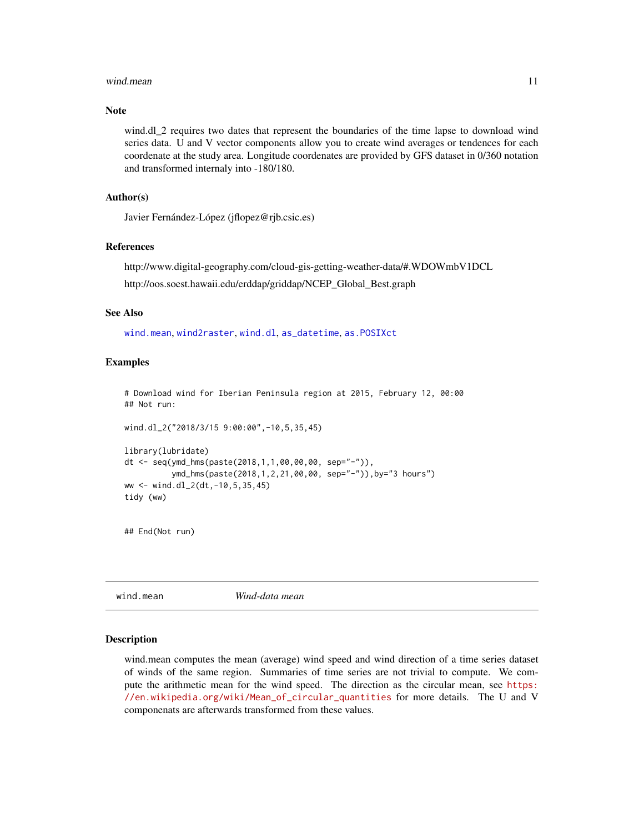#### <span id="page-10-0"></span>wind.mean 11

#### Note

wind.dl\_2 requires two dates that represent the boundaries of the time lapse to download wind series data. U and V vector components allow you to create wind averages or tendences for each coordenate at the study area. Longitude coordenates are provided by GFS dataset in 0/360 notation and transformed internaly into -180/180.

#### Author(s)

Javier Fernández-López (jflopez@rjb.csic.es)

#### References

http://www.digital-geography.com/cloud-gis-getting-weather-data/#.WDOWmbV1DCL http://oos.soest.hawaii.edu/erddap/griddap/NCEP\_Global\_Best.graph

#### See Also

[wind.mean](#page-10-1), [wind2raster](#page-12-1), [wind.dl](#page-7-1), [as\\_datetime](#page-0-0), [as.POSIXct](#page-0-0)

#### Examples

# Download wind for Iberian Peninsula region at 2015, February 12, 00:00 ## Not run:

```
wind.dl_2("2018/3/15 9:00:00",-10,5,35,45)
```

```
library(lubridate)
dt <- seq(ymd_hms(paste(2018,1,1,00,00,00, sep="-")),
          ymd_hms(paste(2018,1,2,21,00,00, sep="-")),by="3 hours")
ww <- wind.dl_2(dt,-10,5,35,45)
tidy (ww)
```
## End(Not run)

<span id="page-10-1"></span>wind.mean *Wind-data mean*

#### Description

wind.mean computes the mean (average) wind speed and wind direction of a time series dataset of winds of the same region. Summaries of time series are not trivial to compute. We compute the arithmetic mean for the wind speed. The direction as the circular mean, see [https:](https://en.wikipedia.org/wiki/Mean_of_circular_quantities) [//en.wikipedia.org/wiki/Mean\\_of\\_circular\\_quantities](https://en.wikipedia.org/wiki/Mean_of_circular_quantities) for more details. The U and V componenats are afterwards transformed from these values.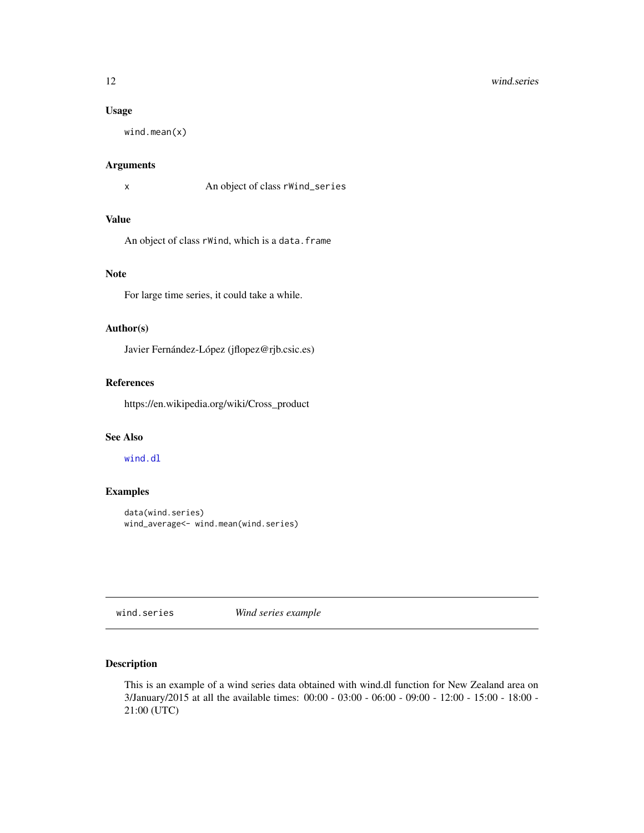#### <span id="page-11-0"></span>12 wind.series

#### Usage

wind.mean(x)

#### Arguments

x An object of class rWind\_series

#### Value

An object of class rWind, which is a data.frame

### Note

For large time series, it could take a while.

#### Author(s)

Javier Fernández-López (jflopez@rjb.csic.es)

#### References

https://en.wikipedia.org/wiki/Cross\_product

#### See Also

#### [wind.dl](#page-7-1)

#### Examples

```
data(wind.series)
wind_average<- wind.mean(wind.series)
```
wind.series *Wind series example*

#### Description

This is an example of a wind series data obtained with wind.dl function for New Zealand area on 3/January/2015 at all the available times: 00:00 - 03:00 - 06:00 - 09:00 - 12:00 - 15:00 - 18:00 - 21:00 (UTC)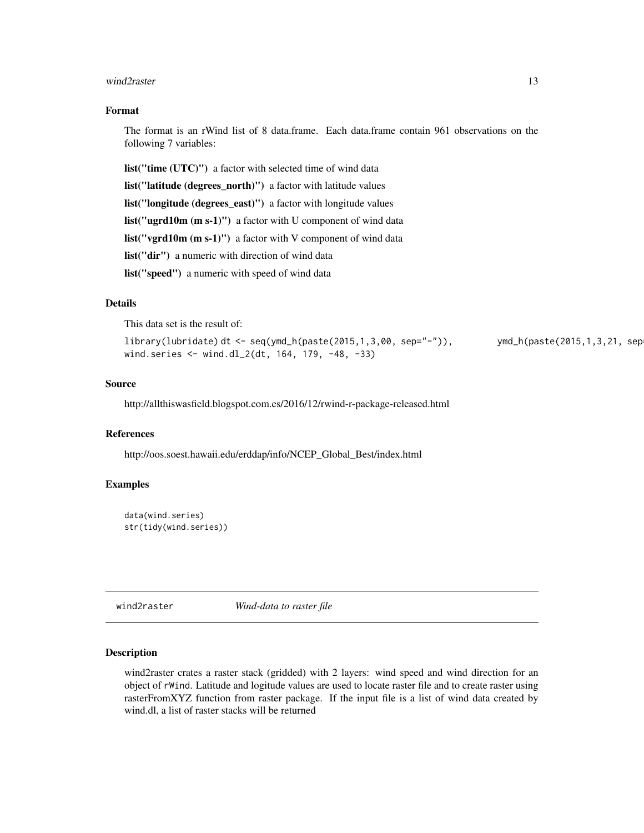#### <span id="page-12-0"></span>wind2raster 13

#### Format

The format is an rWind list of 8 data.frame. Each data.frame contain 961 observations on the following 7 variables:

list("time (UTC)") a factor with selected time of wind data list("latitude (degrees\_north)") a factor with latitude values list("longitude (degrees\_east)") a factor with longitude values list("ugrd10m (m s-1)") a factor with U component of wind data list("vgrd10m (m s-1)") a factor with V component of wind data list("dir") a numeric with direction of wind data list("speed") a numeric with speed of wind data

#### **Details**

This data set is the result of:

```
library(lubridate) dt <- seq(ymd_h(paste(2015,1,3,00, sep="-")), ymd_h(paste(2015,1,3,21, sep="-")),by="3 hours")
wind.series <- wind.dl_2(dt, 164, 179, -48, -33)
```
#### Source

http://allthiswasfield.blogspot.com.es/2016/12/rwind-r-package-released.html

#### References

http://oos.soest.hawaii.edu/erddap/info/NCEP\_Global\_Best/index.html

#### Examples

```
data(wind.series)
str(tidy(wind.series))
```
<span id="page-12-1"></span>wind2raster *Wind-data to raster file*

#### Description

wind2raster crates a raster stack (gridded) with 2 layers: wind speed and wind direction for an object of rWind. Latitude and logitude values are used to locate raster file and to create raster using rasterFromXYZ function from raster package. If the input file is a list of wind data created by wind.dl, a list of raster stacks will be returned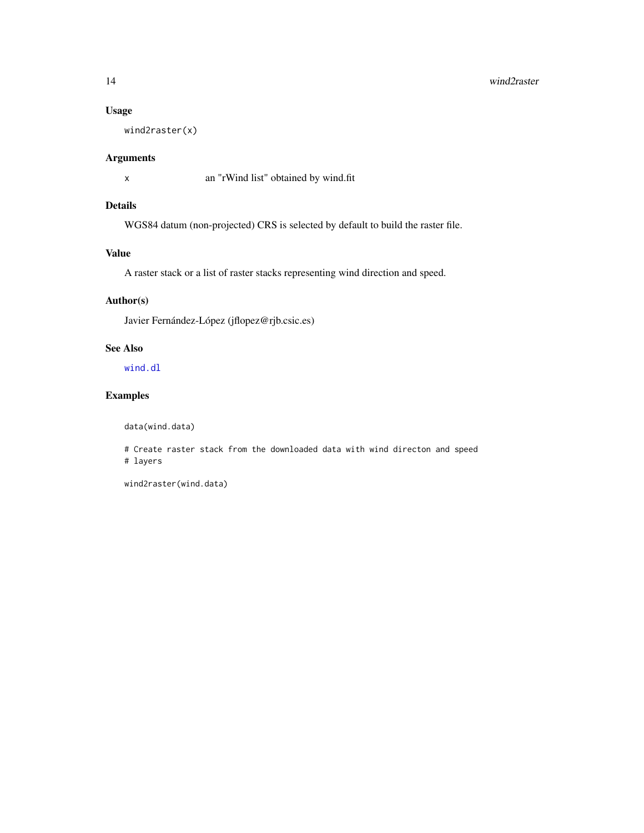#### Usage

wind2raster(x)

#### Arguments

x an "rWind list" obtained by wind.fit

#### Details

WGS84 datum (non-projected) CRS is selected by default to build the raster file.

#### Value

A raster stack or a list of raster stacks representing wind direction and speed.

#### Author(s)

Javier Fernández-López (jflopez@rjb.csic.es)

#### See Also

[wind.dl](#page-7-1)

### Examples

data(wind.data)

# Create raster stack from the downloaded data with wind directon and speed # layers

wind2raster(wind.data)

<span id="page-13-0"></span>